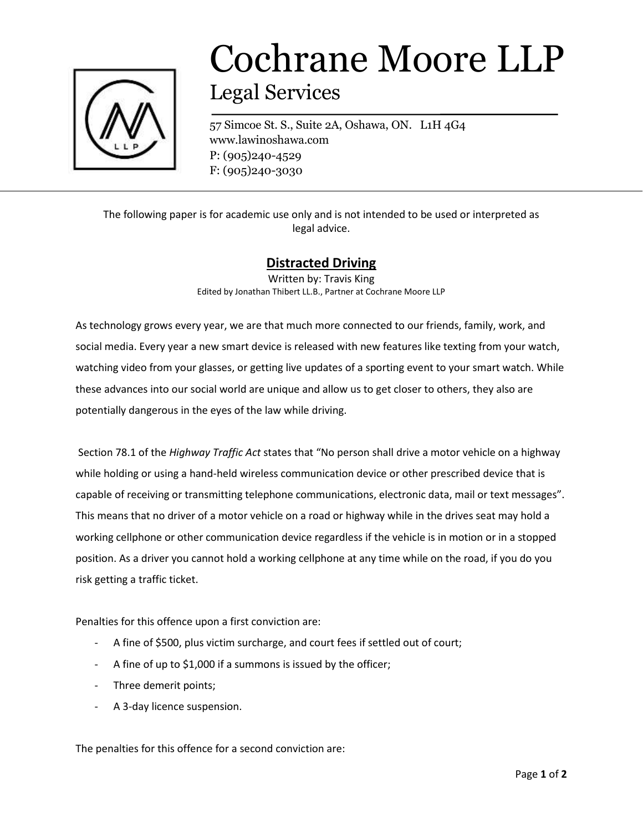

## Cochrane Moore LLP Legal Services

57 Simcoe St. S., Suite 2A, Oshawa, ON. L1H 4G4 www.lawinoshawa.com P: (905)240-4529 F: (905)240-3030

The following paper is for academic use only and is not intended to be used or interpreted as legal advice.

## **Distracted Driving**

Written by: Travis King Edited by Jonathan Thibert LL.B., Partner at Cochrane Moore LLP

As technology grows every year, we are that much more connected to our friends, family, work, and social media. Every year a new smart device is released with new features like texting from your watch, watching video from your glasses, or getting live updates of a sporting event to your smart watch. While these advances into our social world are unique and allow us to get closer to others, they also are potentially dangerous in the eyes of the law while driving.

Section 78.1 of the *Highway Traffic Act* states that "No person shall drive a motor vehicle on a highway while holding or using a hand-held wireless communication device or other prescribed device that is capable of receiving or transmitting telephone communications, electronic data, mail or text messages". This means that no driver of a motor vehicle on a road or highway while in the drives seat may hold a working cellphone or other communication device regardless if the vehicle is in motion or in a stopped position. As a driver you cannot hold a working cellphone at any time while on the road, if you do you risk getting a traffic ticket.

Penalties for this offence upon a first conviction are:

- A fine of \$500, plus victim surcharge, and court fees if settled out of court;
- A fine of up to \$1,000 if a summons is issued by the officer;
- Three demerit points;
- A 3-day licence suspension.

The penalties for this offence for a second conviction are: